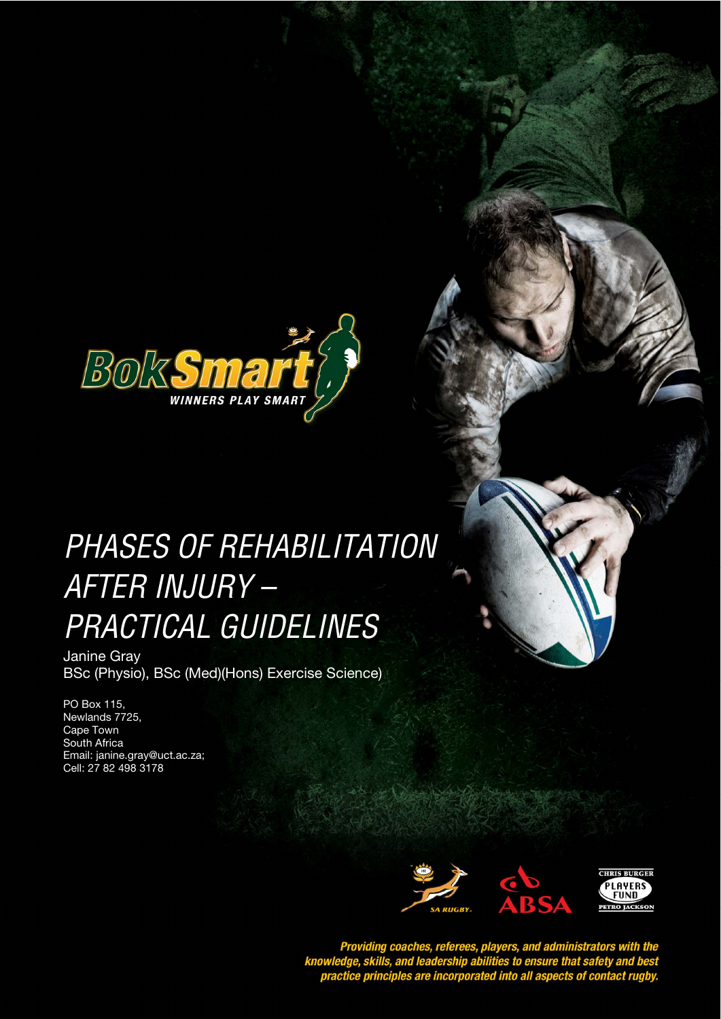

# PHASES OF REHABILITATION *STYLE HEADING FOR TABLES*  AFTER INJURY – PRACTICAL GUIDELINES

Janine Gray BSc (Physio), BSc (Med)(Hons) Exercise Science)

PO Box 115, Newlands 7725, Cape Town South Africa Email: janine.gray@uct.ac.za; Cell: 27 82 498 3178



Providing coaches, referees, players, and administrators with the<br>knowledge, skills, and leadership abilities to ensure that safety and best<br>practice principles are incorporated into all aspects of contact rugby.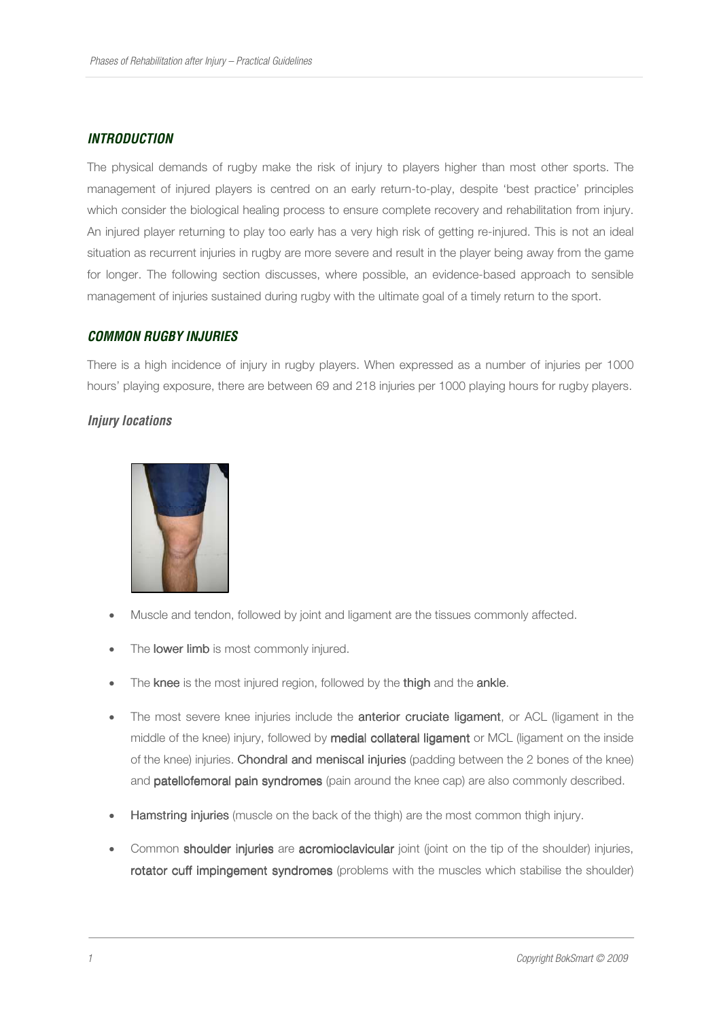### *INTRODUCTION*

The physical demands of rugby make the risk of injury to players higher than most other sports. The management of injured players is centred on an early return-to-play, despite 'best practice' principles which consider the biological healing process to ensure complete recovery and rehabilitation from injury. An injured player returning to play too early has a very high risk of getting re-injured. This is not an ideal situation as recurrent injuries in rugby are more severe and result in the player being away from the game for longer. The following section discusses, where possible, an evidence-based approach to sensible management of injuries sustained during rugby with the ultimate goal of a timely return to the sport.

#### *COMMON RUGBY INJURIES*

There is a high incidence of injury in rugby players. When expressed as a number of injuries per 1000 hours' playing exposure, there are between 69 and 218 injuries per 1000 playing hours for rugby players.

# *Injury locations*



- Muscle and tendon, followed by joint and ligament are the tissues commonly affected.
- The lower limb is most commonly injured.
- The knee is the most injured region, followed by the thigh and the ankle.
- The most severe knee injuries include the **anterior cruciate ligament**, or ACL (ligament in the middle of the knee) injury, followed by medial collateral ligament or MCL (ligament on the inside of the knee) injuries. Chondral and meniscal injuries (padding between the 2 bones of the knee) and patellofemoral pain syndromes (pain around the knee cap) are also commonly described.
- **Hamstring injuries** (muscle on the back of the thigh) are the most common thigh injury.
- Common shoulder injuries are acromioclavicular joint (joint on the tip of the shoulder) injuries, rotator cuff impingement syndromes (problems with the muscles which stabilise the shoulder)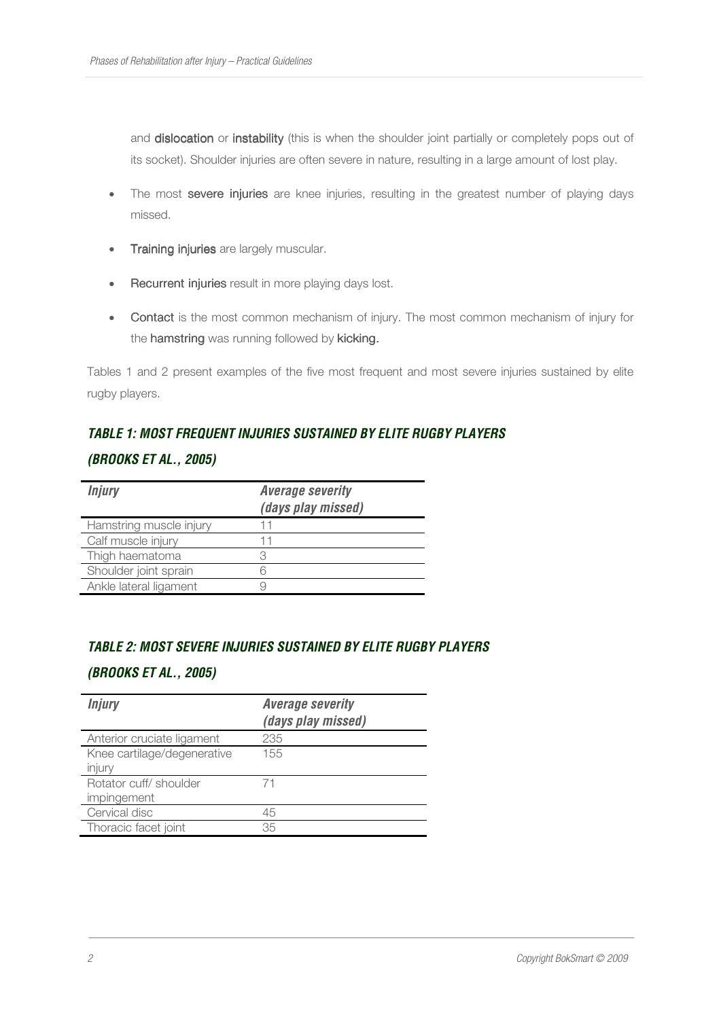and dislocation or instability (this is when the shoulder joint partially or completely pops out of its socket). Shoulder injuries are often severe in nature, resulting in a large amount of lost play.

- The most severe injuries are knee injuries, resulting in the greatest number of playing days missed.
- Training injuries are largely muscular.
- Recurrent injuries result in more playing days lost.
- Contact is the most common mechanism of injury. The most common mechanism of injury for the hamstring was running followed by kicking.

Tables 1 and 2 present examples of the five most frequent and most severe injuries sustained by elite rugby players.

# *TABLE 1: MOST FREQUENT INJURIES SUSTAINED BY ELITE RUGBY PLAYERS*

#### *(BROOKS ET AL., 2005)*

| <b>Injury</b>           | <b>Average severity</b><br>(days play missed) |
|-------------------------|-----------------------------------------------|
| Hamstring muscle injury |                                               |
| Calf muscle injury      | 11                                            |
| Thigh haematoma         |                                               |
| Shoulder joint sprain   |                                               |
| Ankle lateral ligament  |                                               |

# *TABLE 2: MOST SEVERE INJURIES SUSTAINED BY ELITE RUGBY PLAYERS*

#### *(BROOKS ET AL., 2005)*

| <b>Average severity</b><br>(days play missed) |
|-----------------------------------------------|
| 235                                           |
| 155                                           |
| 71                                            |
| 45                                            |
| 35                                            |
|                                               |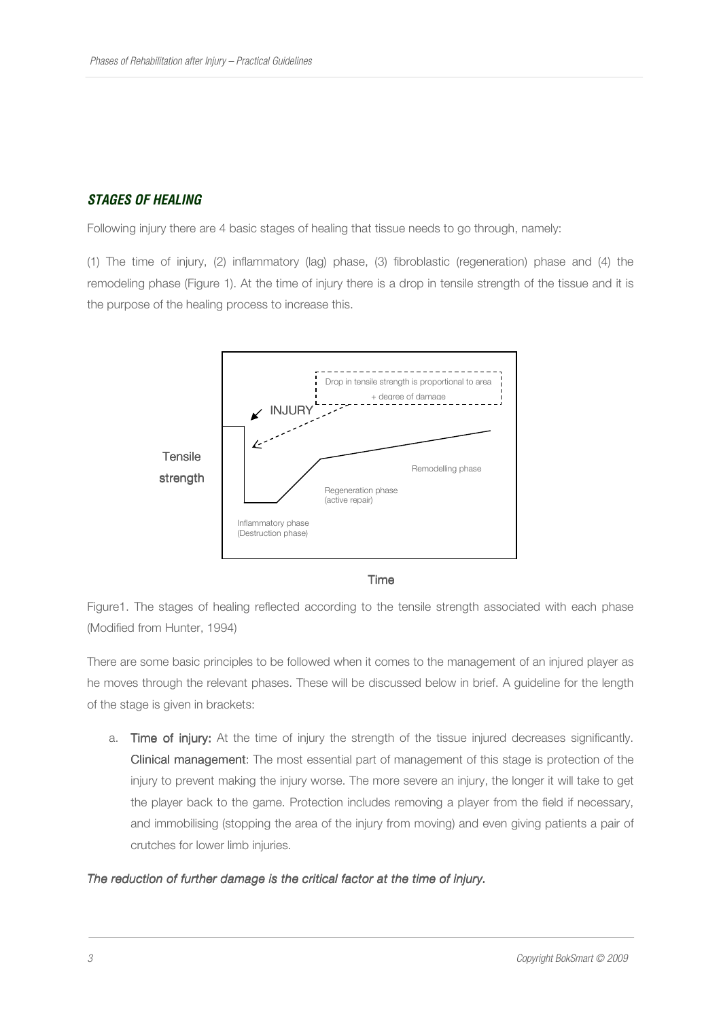# *STAGES OF HEALING*

Following injury there are 4 basic stages of healing that tissue needs to go through, namely:

(1) The time of injury, (2) inflammatory (lag) phase, (3) fibroblastic (regeneration) phase and (4) the remodeling phase (Figure 1). At the time of injury there is a drop in tensile strength of the tissue and it is the purpose of the healing process to increase this.



Time

Figure1. The stages of healing reflected according to the tensile strength associated with each phase (Modified from Hunter, 1994)

There are some basic principles to be followed when it comes to the management of an injured player as he moves through the relevant phases. These will be discussed below in brief. A guideline for the length of the stage is given in brackets:

a. Time of injury: At the time of injury the strength of the tissue injured decreases significantly. Clinical management: The most essential part of management of this stage is protection of the injury to prevent making the injury worse. The more severe an injury, the longer it will take to get the player back to the game. Protection includes removing a player from the field if necessary, and immobilising (stopping the area of the injury from moving) and even giving patients a pair of crutches for lower limb injuries.

#### *The reduction of further damage is the critical factor at the time of injury.*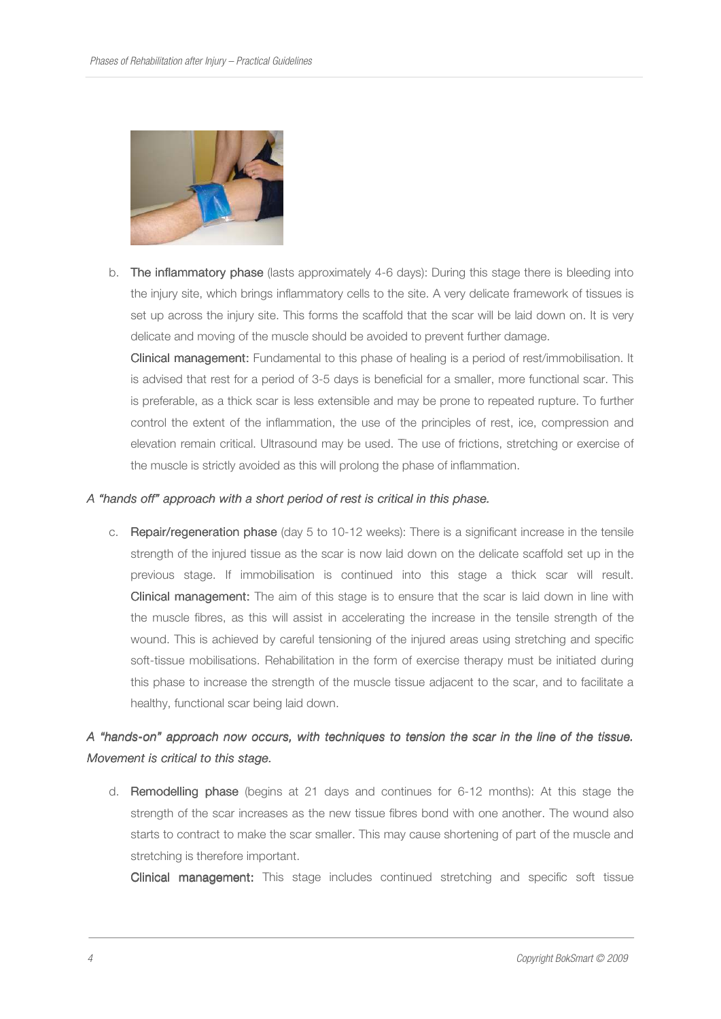

b. The inflammatory phase (lasts approximately 4-6 days): During this stage there is bleeding into the injury site, which brings inflammatory cells to the site. A very delicate framework of tissues is set up across the injury site. This forms the scaffold that the scar will be laid down on. It is very delicate and moving of the muscle should be avoided to prevent further damage.

Clinical management: Fundamental to this phase of healing is a period of rest/immobilisation. It is advised that rest for a period of 3-5 days is beneficial for a smaller, more functional scar. This is preferable, as a thick scar is less extensible and may be prone to repeated rupture. To further control the extent of the inflammation, the use of the principles of rest, ice, compression and elevation remain critical. Ultrasound may be used. The use of frictions, stretching or exercise of the muscle is strictly avoided as this will prolong the phase of inflammation.

#### *A "hands off" approach with a short period of rest is critical in this phase. in phase.*

c. Repair/regeneration phase (day 5 to 10-12 weeks): There is a significant increase in the tensile strength of the injured tissue as the scar is now laid down on the delicate scaffold set up in the previous stage. If immobilisation is continued into this stage a thick scar will result. **Clinical management:** The aim of this stage is to ensure that the scar is laid down in line with the muscle fibres, as this will assist in accelerating the increase in the tensile strength of the wound. This is achieved by careful tensioning of the injured areas using stretching and specific soft-tissue mobilisations. Rehabilitation in the form of exercise therapy must be initiated during this phase to increase the strength of the muscle tissue adjacent to the scar, and to facilitate a healthy, functional scar being laid down.

# *A "hands- A "hands-on" approach now occurs, with techniques to tensio on" techniques tension the scar in the line of the tissue. scar the of Movement is critical to this stage.*

d. Remodelling phase (begins at 21 days and continues for 6-12 months): At this stage the strength of the scar increases as the new tissue fibres bond with one another. The wound also starts to contract to make the scar smaller. This may cause shortening of part of the muscle and stretching is therefore important.

Clinical management: This stage includes continued stretching and specific soft tissue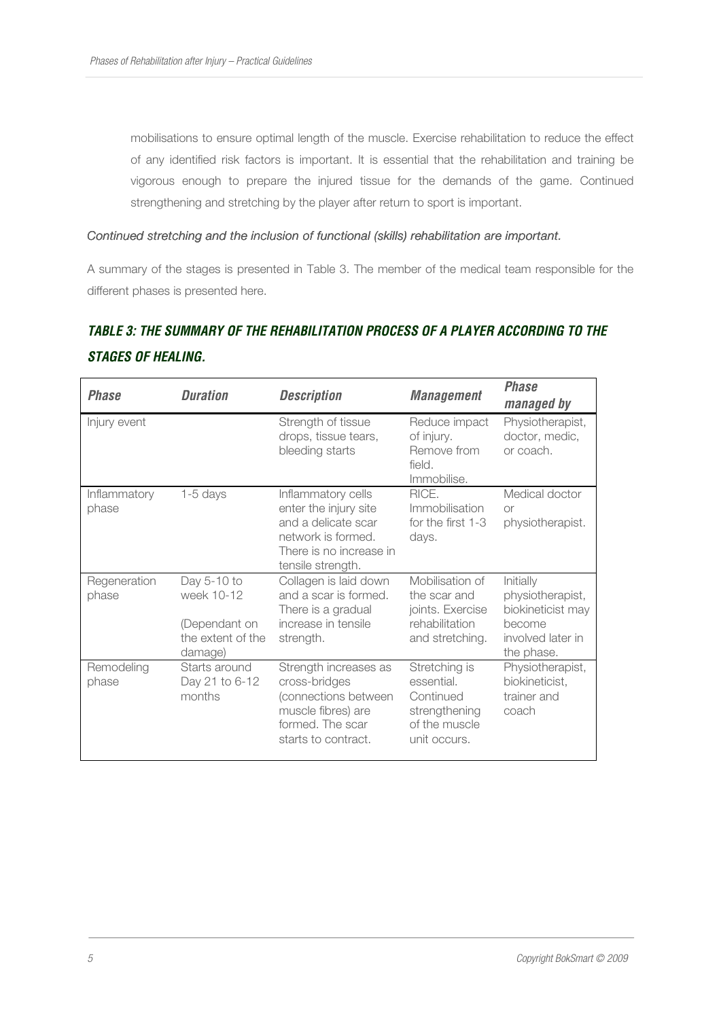mobilisations to ensure optimal length of the muscle. Exercise rehabilitation to reduce the effect of any identified risk factors is important. It is essential that the rehabilitation and training be vigorous enough to prepare the injured tissue for the demands of the game. Continued strengthening and stretching by the player after return to sport is important.

#### *Continued stretching and the inclusion of functional (skills) rehabilitation are important.*

A summary of the stages is presented in Table 3. The member of the medical team responsible for the different phases is presented here.

# *TABLE 3: THE SUMMARY OF THE REHABILITATION PROCESS OF A PLAYER ACCORDING TO THE STAGES OF HEALING.*

| <b>Phase</b>          | <b>Duration</b>                                                            | <b>Description</b>                                                                                                                       | <b>Management</b>                                                                          | <b>Phase</b><br>managed by                                                                      |
|-----------------------|----------------------------------------------------------------------------|------------------------------------------------------------------------------------------------------------------------------------------|--------------------------------------------------------------------------------------------|-------------------------------------------------------------------------------------------------|
| Injury event          |                                                                            | Strength of tissue<br>drops, tissue tears,<br>bleeding starts                                                                            | Reduce impact<br>of injury.<br>Remove from<br>field.<br>Immobilise.                        | Physiotherapist,<br>doctor, medic,<br>or coach.                                                 |
| Inflammatory<br>phase | $1-5$ days                                                                 | Inflammatory cells<br>enter the injury site<br>and a delicate scar<br>network is formed.<br>There is no increase in<br>tensile strength. | RICE.<br>Immobilisation<br>for the first 1-3<br>days.                                      | Medical doctor<br><b>Or</b><br>physiotherapist.                                                 |
| Regeneration<br>phase | Day 5-10 to<br>week 10-12<br>(Dependant on<br>the extent of the<br>damage) | Collagen is laid down<br>and a scar is formed.<br>There is a gradual<br>increase in tensile<br>strength.                                 | Mobilisation of<br>the scar and<br>joints. Exercise<br>rehabilitation<br>and stretching.   | Initially<br>physiotherapist,<br>biokineticist may<br>become<br>involved later in<br>the phase. |
| Remodeling<br>phase   | Starts around<br>Day 21 to 6-12<br>months                                  | Strength increases as<br>cross-bridges<br>(connections between<br>muscle fibres) are<br>formed. The scar<br>starts to contract.          | Stretching is<br>essential.<br>Continued<br>strengthening<br>of the muscle<br>unit occurs. | Physiotherapist,<br>biokineticist,<br>trainer and<br>coach                                      |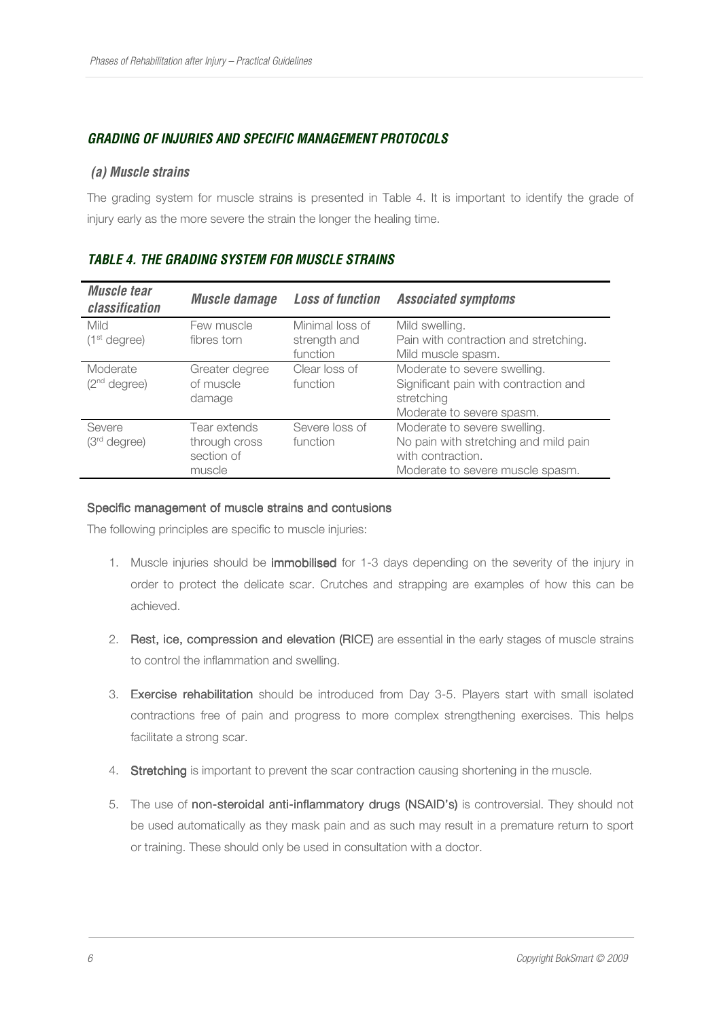# *GRADING OF INJURIES AND SPECIFIC MANAGEMENT PROTOCOLS*

#### *(a) Muscle strains*

The grading system for muscle strains is presented in Table 4. It is important to identify the grade of injury early as the more severe the strain the longer the healing time.

| <b>Muscle tear</b><br>classification | <b>Muscle damage</b> | <b>Loss of function</b> | <b>Associated symptoms</b>            |
|--------------------------------------|----------------------|-------------------------|---------------------------------------|
| Mild                                 | Few muscle           | Minimal loss of         | Mild swelling.                        |
| (1 <sup>st</sup> degree)             | fibres torn          | strength and            | Pain with contraction and stretching. |
|                                      |                      | function                | Mild muscle spasm.                    |
| Moderate                             | Greater degree       | Clear loss of           | Moderate to severe swelling.          |
| (2 <sup>nd</sup> degree)             | of muscle            | function                | Significant pain with contraction and |
|                                      | damage               |                         | stretching                            |
|                                      |                      |                         | Moderate to severe spasm.             |
| Severe                               | Tear extends         | Severe loss of          | Moderate to severe swelling.          |
| (3 <sup>rd</sup> degree)             | through cross        | function                | No pain with stretching and mild pain |
|                                      | section of           |                         | with contraction.                     |
|                                      | muscle               |                         | Moderate to severe muscle spasm.      |

# *TABLE 4. THE GRADING SYSTEM FOR MUSCLE STRAINS*

#### Specific management of muscle strains and contusions

The following principles are specific to muscle injuries:

- 1. Muscle injuries should be *immobilised* for 1-3 days depending on the severity of the injury in order to protect the delicate scar. Crutches and strapping are examples of how this can be achieved.
- 2. Rest, ice, compression and elevation (RICE) are essential in the early stages of muscle strains to control the inflammation and swelling.
- 3. Exercise rehabilitation should be introduced from Day 3-5. Players start with small isolated contractions free of pain and progress to more complex strengthening exercises. This helps facilitate a strong scar.
- 4. Stretching is important to prevent the scar contraction causing shortening in the muscle.
- 5. The use of non-steroidal anti-inflammatory drugs (NSAID's) is controversial. They should not be used automatically as they mask pain and as such may result in a premature return to sport or training. These should only be used in consultation with a doctor.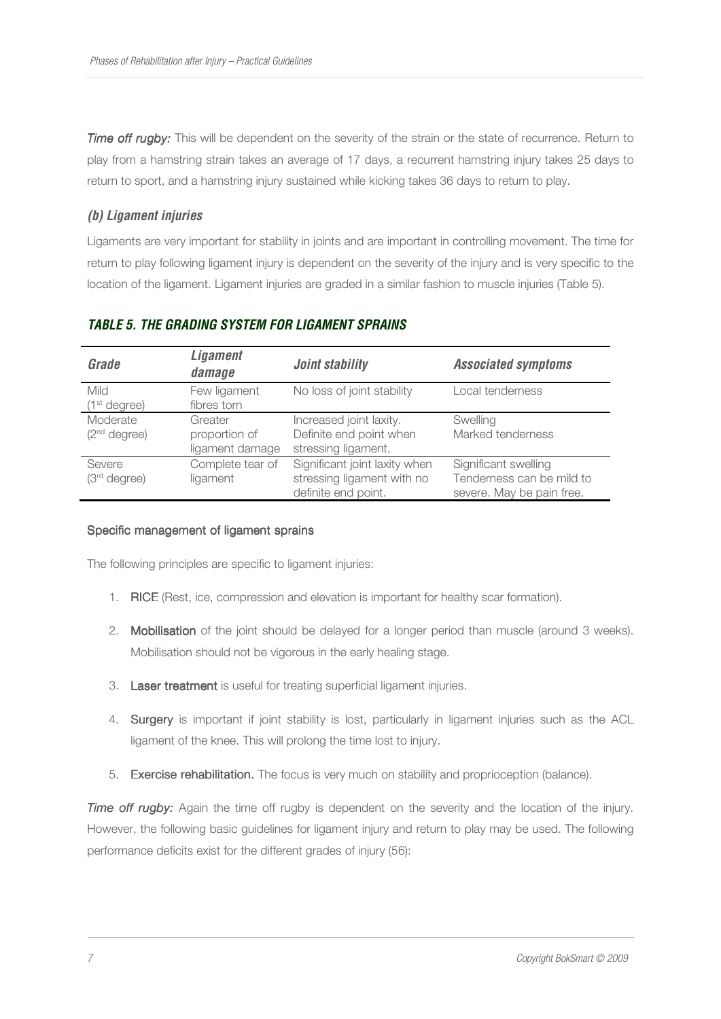*Time off rugby:* This will be dependent on the severity of the strain or the state of recurrence. Return to play from a hamstring strain takes an average of 17 days, a recurrent hamstring injury takes 25 days to return to sport, and a hamstring injury sustained while kicking takes 36 days to return to play.

### *(b) Ligament injuries*

Ligaments are very important for stability in joints and are important in controlling movement. The time for return to play following ligament injury is dependent on the severity of the injury and is very specific to the location of the ligament. Ligament injuries are graded in a similar fashion to muscle injuries (Table 5).

| Grade                                   | <b>Ligament</b><br>damage                   | Joint stability                                                                    | <b>Associated symptoms</b>                                                     |
|-----------------------------------------|---------------------------------------------|------------------------------------------------------------------------------------|--------------------------------------------------------------------------------|
| <b>Mild</b><br>(1 <sup>st</sup> degree) | Few ligament<br>fibres torn                 | No loss of joint stability                                                         | Local tenderness                                                               |
| Moderate<br>(2 <sup>nd</sup> degree)    | Greater<br>proportion of<br>ligament damage | Increased joint laxity.<br>Definite end point when<br>stressing ligament.          | Swelling<br>Marked tenderness                                                  |
| Severe<br>$(3rd$ degree)                | Complete tear of<br>ligament                | Significant joint laxity when<br>stressing ligament with no<br>definite end point. | Significant swelling<br>Tenderness can be mild to<br>severe. May be pain free. |

# *TABLE 5. THE GRADING SYSTEM FOR LIGAMENT SPRAINS*

#### Specific management of ligament sprains

The following principles are specific to ligament injuries:

- 1. RICE (Rest, ice, compression and elevation is important for healthy scar formation).
- 2. Mobilisation of the joint should be delayed for a longer period than muscle (around 3 weeks). Mobilisation should not be vigorous in the early healing stage.
- 3. Laser treatment is useful for treating superficial ligament injuries.
- 4. Surgery is important if joint stability is lost, particularly in ligament injuries such as the ACL ligament of the knee. This will prolong the time lost to injury.
- 5. Exercise rehabilitation. The focus is very much on stability and proprioception (balance).

**Time off rugby:** Again the time off rugby is dependent on the severity and the location of the injury. However, the following basic guidelines for ligament injury and return to play may be used. The following performance deficits exist for the different grades of injury (56):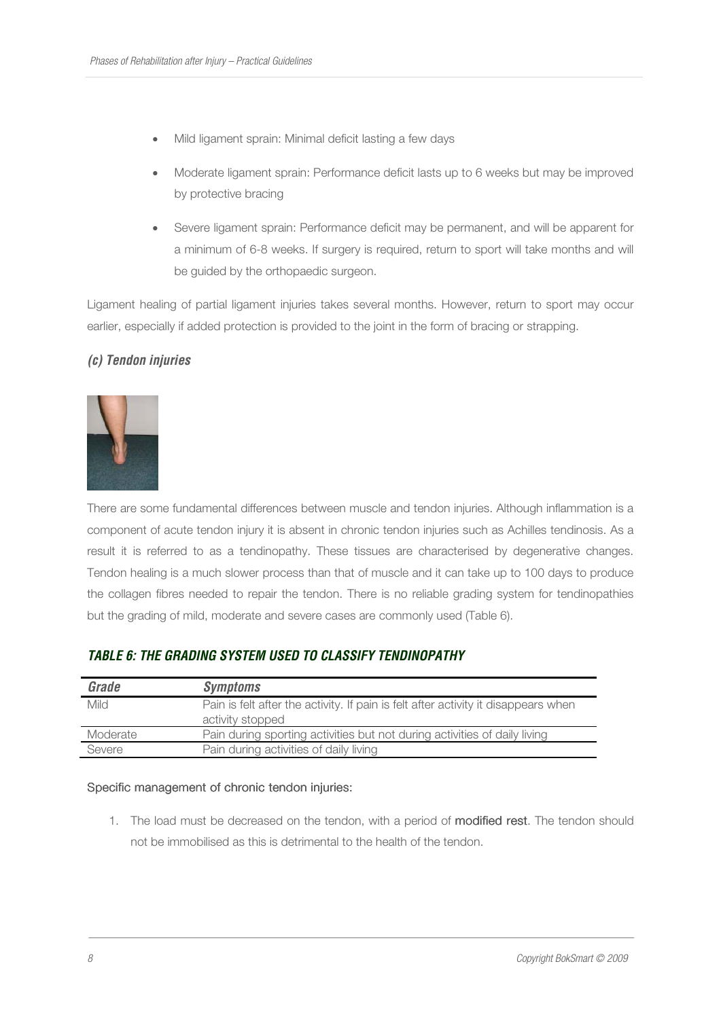- Mild ligament sprain: Minimal deficit lasting a few days
- Moderate ligament sprain: Performance deficit lasts up to 6 weeks but may be improved by protective bracing
- Severe ligament sprain: Performance deficit may be permanent, and will be apparent for a minimum of 6-8 weeks. If surgery is required, return to sport will take months and will be guided by the orthopaedic surgeon.

Ligament healing of partial ligament injuries takes several months. However, return to sport may occur earlier, especially if added protection is provided to the joint in the form of bracing or strapping.

#### *(c) Tendon injuries*



There are some fundamental differences between muscle and tendon injuries. Although inflammation is a component of acute tendon injury it is absent in chronic tendon injuries such as Achilles tendinosis. As a result it is referred to as a tendinopathy. These tissues are characterised by degenerative changes. Tendon healing is a much slower process than that of muscle and it can take up to 100 days to produce the collagen fibres needed to repair the tendon. There is no reliable grading system for tendinopathies but the grading of mild, moderate and severe cases are commonly used (Table 6).

#### *TABLE 6: THE GRADING SYSTEM USED TO CLASSIFY TENDINOPATHY*

| <b>Grade</b> | <b>Symptoms</b>                                                                    |
|--------------|------------------------------------------------------------------------------------|
| Mild         | Pain is felt after the activity. If pain is felt after activity it disappears when |
|              | activity stopped                                                                   |
| Moderate     | Pain during sporting activities but not during activities of daily living          |
| Severe       | Pain during activities of daily living                                             |

#### Specific management of chronic tendon injuries:

1. The load must be decreased on the tendon, with a period of modified rest. The tendon should not be immobilised as this is detrimental to the health of the tendon.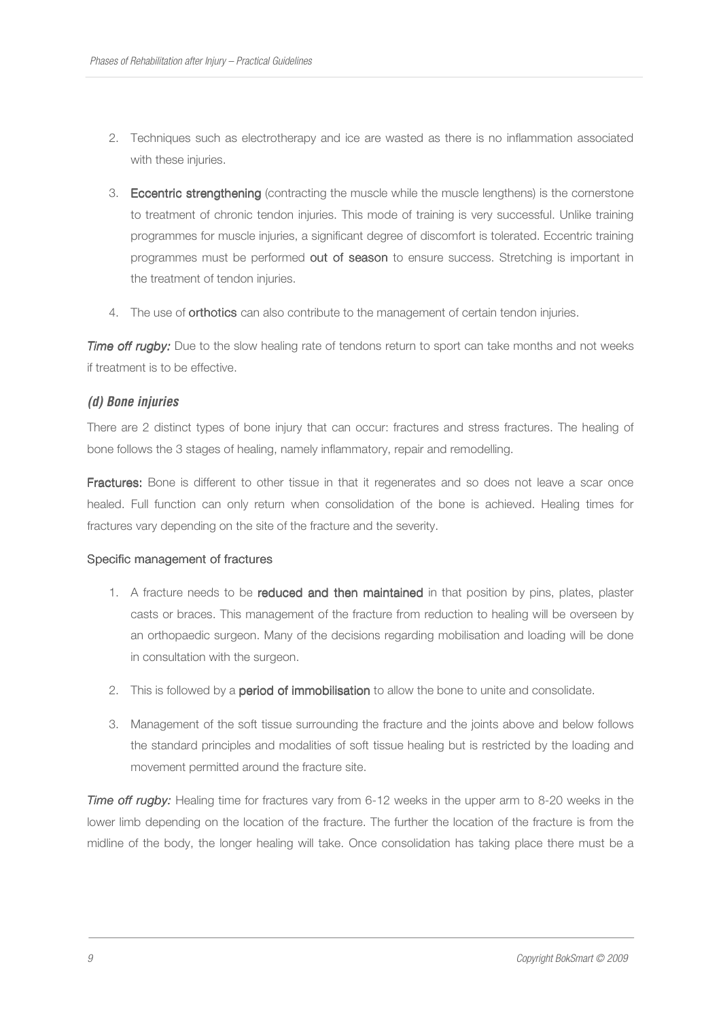- 2. Techniques such as electrotherapy and ice are wasted as there is no inflammation associated with these injuries.
- 3. Eccentric strengthening (contracting the muscle while the muscle lengthens) is the cornerstone to treatment of chronic tendon injuries. This mode of training is very successful. Unlike training programmes for muscle injuries, a significant degree of discomfort is tolerated. Eccentric training programmes must be performed out of season to ensure success. Stretching is important in the treatment of tendon injuries.
- 4. The use of **orthotics** can also contribute to the management of certain tendon injuries.

**Time off rugby:** Due to the slow healing rate of tendons return to sport can take months and not weeks if treatment is to be effective.

# *(d) Bone injuries*

There are 2 distinct types of bone injury that can occur: fractures and stress fractures. The healing of bone follows the 3 stages of healing, namely inflammatory, repair and remodelling.

Fractures: Bone is different to other tissue in that it regenerates and so does not leave a scar once healed. Full function can only return when consolidation of the bone is achieved. Healing times for fractures vary depending on the site of the fracture and the severity.

#### Specific management of fractures

- 1. A fracture needs to be reduced and then maintained in that position by pins, plates, plaster casts or braces. This management of the fracture from reduction to healing will be overseen by an orthopaedic surgeon. Many of the decisions regarding mobilisation and loading will be done in consultation with the surgeon.
- 2. This is followed by a **period of immobilisation** to allow the bone to unite and consolidate.
- 3. Management of the soft tissue surrounding the fracture and the joints above and below follows the standard principles and modalities of soft tissue healing but is restricted by the loading and movement permitted around the fracture site.

*Time off rugby:* Healing time for fractures vary from 6-12 weeks in the upper arm to 8-20 weeks in the lower limb depending on the location of the fracture. The further the location of the fracture is from the midline of the body, the longer healing will take. Once consolidation has taking place there must be a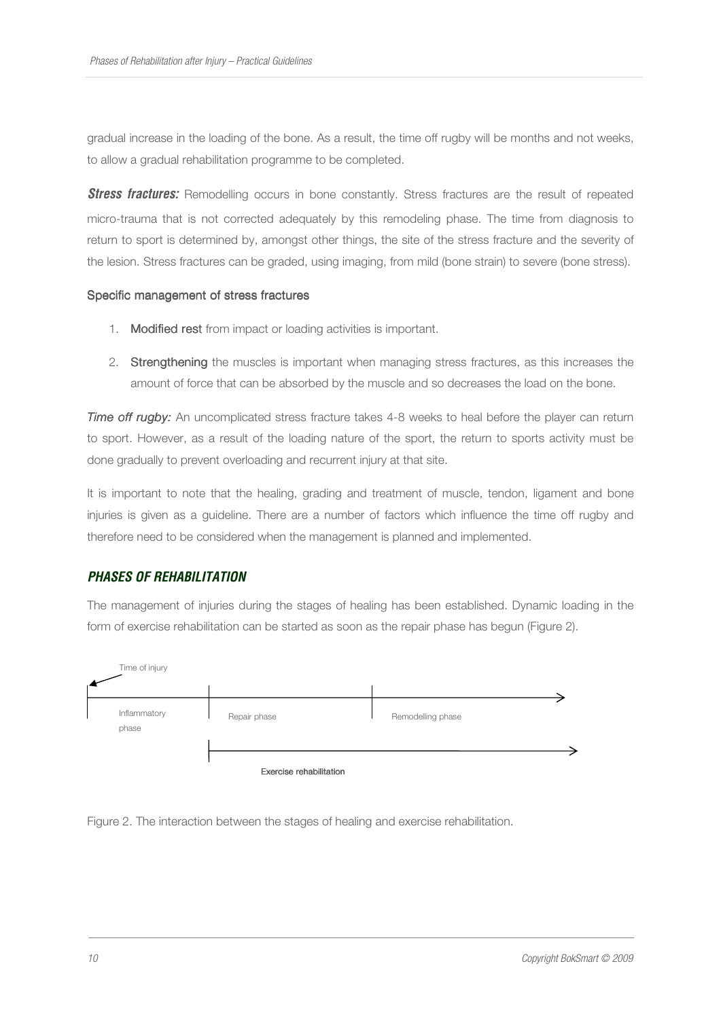gradual increase in the loading of the bone. As a result, the time off rugby will be months and not weeks, to allow a gradual rehabilitation programme to be completed.

**Stress fractures:** Remodelling occurs in bone constantly. Stress fractures are the result of repeated micro-trauma that is not corrected adequately by this remodeling phase. The time from diagnosis to return to sport is determined by, amongst other things, the site of the stress fracture and the severity of the lesion. Stress fractures can be graded, using imaging, from mild (bone strain) to severe (bone stress).

#### Specific management of stress fractures

- 1. Modified rest from impact or loading activities is important.
- 2. Strengthening the muscles is important when managing stress fractures, as this increases the amount of force that can be absorbed by the muscle and so decreases the load on the bone.

*Time off rugby:* An uncomplicated stress fracture takes 4-8 weeks to heal before the player can return to sport. However, as a result of the loading nature of the sport, the return to sports activity must be done gradually to prevent overloading and recurrent injury at that site.

It is important to note that the healing, grading and treatment of muscle, tendon, ligament and bone injuries is given as a guideline. There are a number of factors which influence the time off rugby and therefore need to be considered when the management is planned and implemented.

#### *PHASES OF REHABILITATION*

The management of injuries during the stages of healing has been established. Dynamic loading in the form of exercise rehabilitation can be started as soon as the repair phase has begun (Figure 2).



Figure 2. The interaction between the stages of healing and exercise rehabilitation.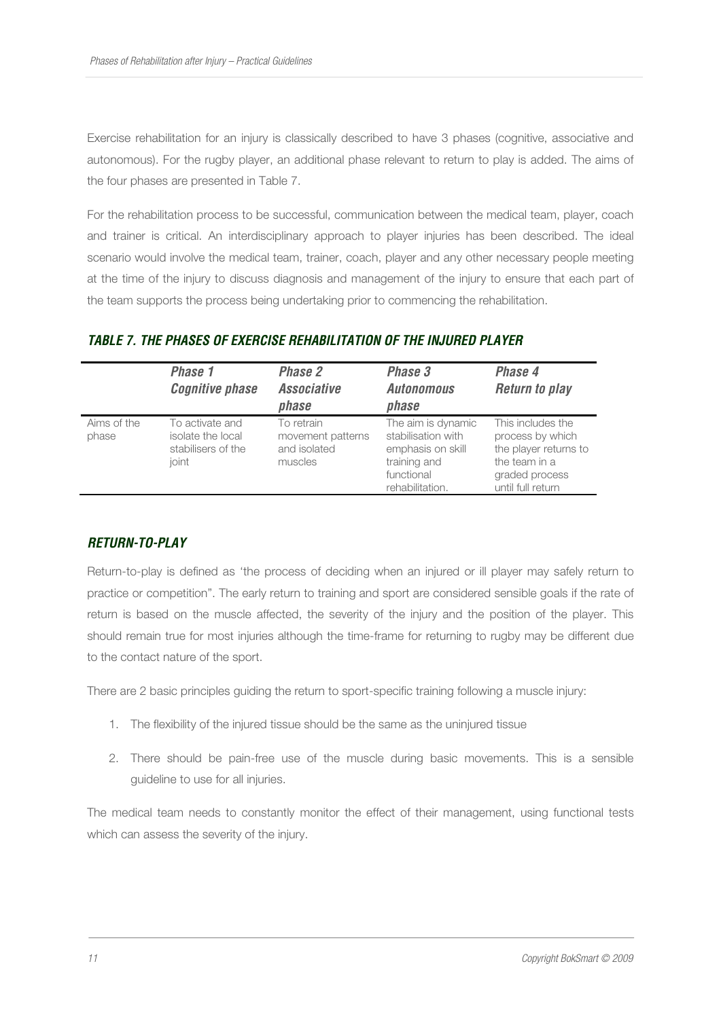Exercise rehabilitation for an injury is classically described to have 3 phases (cognitive, associative and autonomous). For the rugby player, an additional phase relevant to return to play is added. The aims of the four phases are presented in Table 7.

For the rehabilitation process to be successful, communication between the medical team, player, coach and trainer is critical. An interdisciplinary approach to player injuries has been described. The ideal scenario would involve the medical team, trainer, coach, player and any other necessary people meeting at the time of the injury to discuss diagnosis and management of the injury to ensure that each part of the team supports the process being undertaking prior to commencing the rehabilitation.

|                      | Phase 1<br><b>Cognitive phase</b>                                   | Phase 2<br><b>Associative</b><br>phase                     | Phase 3<br><b>Autonomous</b><br>phase                                                                          | Phase 4<br><b>Return to play</b>                                                                                       |
|----------------------|---------------------------------------------------------------------|------------------------------------------------------------|----------------------------------------------------------------------------------------------------------------|------------------------------------------------------------------------------------------------------------------------|
| Aims of the<br>phase | To activate and<br>isolate the local<br>stabilisers of the<br>ioint | To retrain<br>movement patterns<br>and isolated<br>muscles | The aim is dynamic<br>stabilisation with<br>emphasis on skill<br>training and<br>functional<br>rehabilitation. | This includes the<br>process by which<br>the player returns to<br>the team in a<br>graded process<br>until full return |

# *TABLE 7. THE PHASES OF EXERCISE REHABILITATION OF THE INJURED PLAYER*

#### *RETURN-TO-PLAY*

Return-to-play is defined as 'the process of deciding when an injured or ill player may safely return to practice or competition". The early return to training and sport are considered sensible goals if the rate of return is based on the muscle affected, the severity of the injury and the position of the player. This should remain true for most injuries although the time-frame for returning to rugby may be different due to the contact nature of the sport.

There are 2 basic principles guiding the return to sport-specific training following a muscle injury:

- 1. The flexibility of the injured tissue should be the same as the uninjured tissue
- 2. There should be pain-free use of the muscle during basic movements. This is a sensible guideline to use for all injuries.

The medical team needs to constantly monitor the effect of their management, using functional tests which can assess the severity of the injury.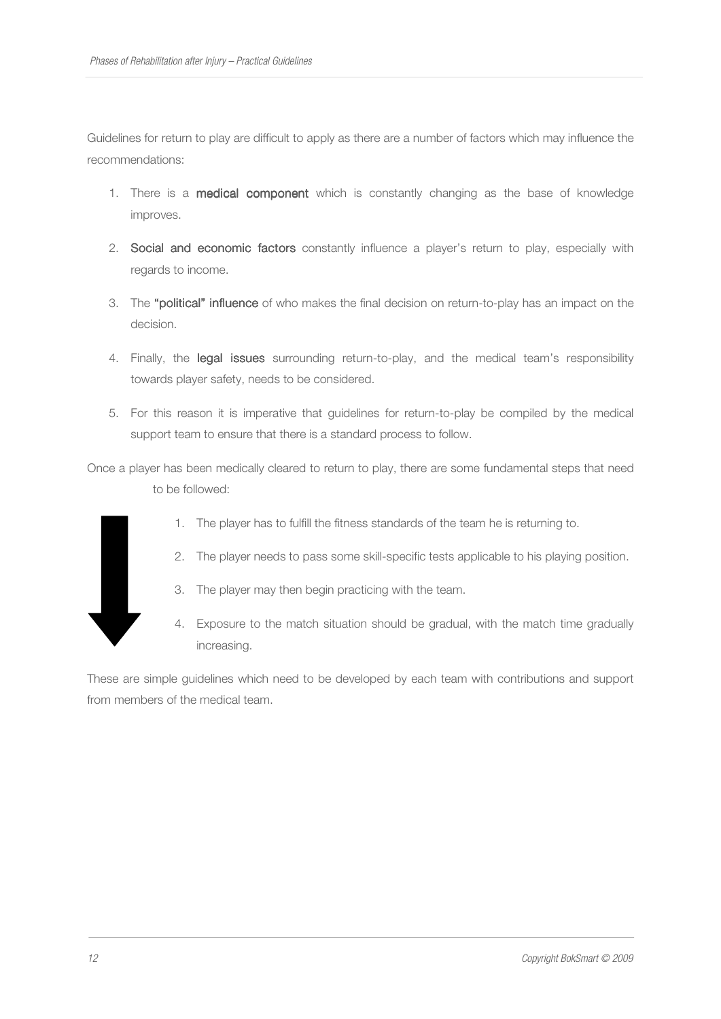Guidelines for return to play are difficult to apply as there are a number of factors which may influence the recommendations:

- 1. There is a **medical component** which is constantly changing as the base of knowledge improves.
- 2. Social and economic factors constantly influence a player's return to play, especially with regards to income.
- 3. The "political" influence of who makes the final decision on return-to-play has an impact on the decision.
- 4. Finally, the legal issues surrounding return-to-play, and the medical team's responsibility towards player safety, needs to be considered.
- 5. For this reason it is imperative that guidelines for return-to-play be compiled by the medical support team to ensure that there is a standard process to follow.

Once a player has been medically cleared to return to play, there are some fundamental steps that need to be followed:



- 1. The player has to fulfill the fitness standards of the team he is returning to.
- 2. The player needs to pass some skill-specific tests applicable to his playing position.
- 3. The player may then begin practicing with the team.
- 4. Exposure to the match situation should be gradual, with the match time gradually increasing.

These are simple guidelines which need to be developed by each team with contributions and support from members of the medical team.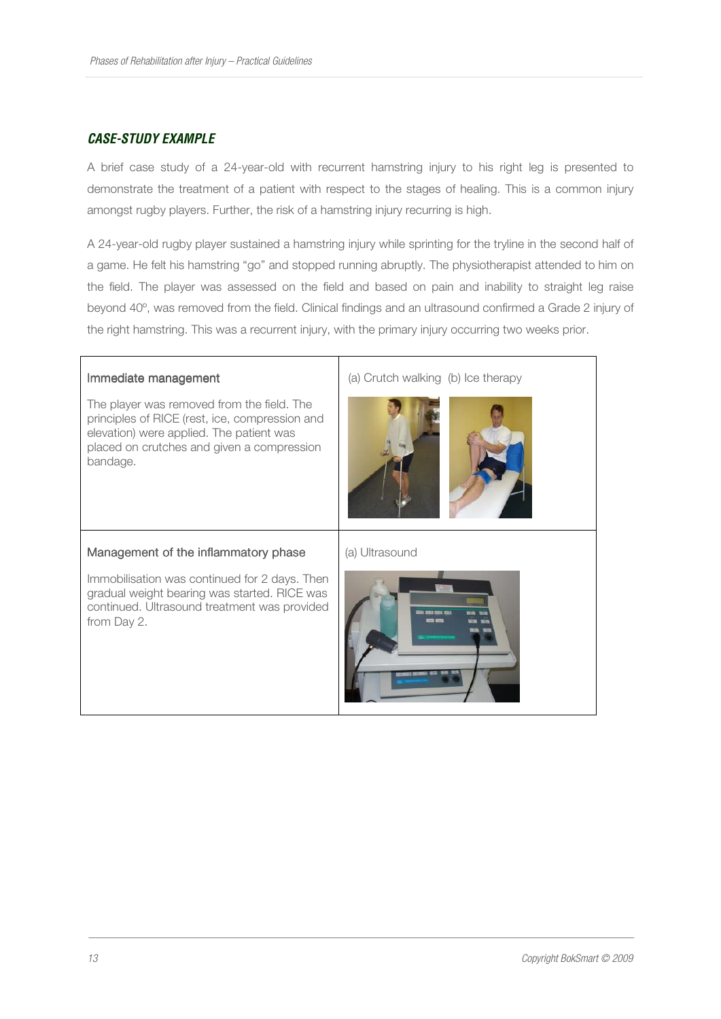# *CASE-STUDY EXAMPLE*

A brief case study of a 24-year-old with recurrent hamstring injury to his right leg is presented to demonstrate the treatment of a patient with respect to the stages of healing. This is a common injury amongst rugby players. Further, the risk of a hamstring injury recurring is high.

A 24-year-old rugby player sustained a hamstring injury while sprinting for the tryline in the second half of a game. He felt his hamstring "go" and stopped running abruptly. The physiotherapist attended to him on the field. The player was assessed on the field and based on pain and inability to straight leg raise beyond 40º, was removed from the field. Clinical findings and an ultrasound confirmed a Grade 2 injury of the right hamstring. This was a recurrent injury, with the primary injury occurring two weeks prior.

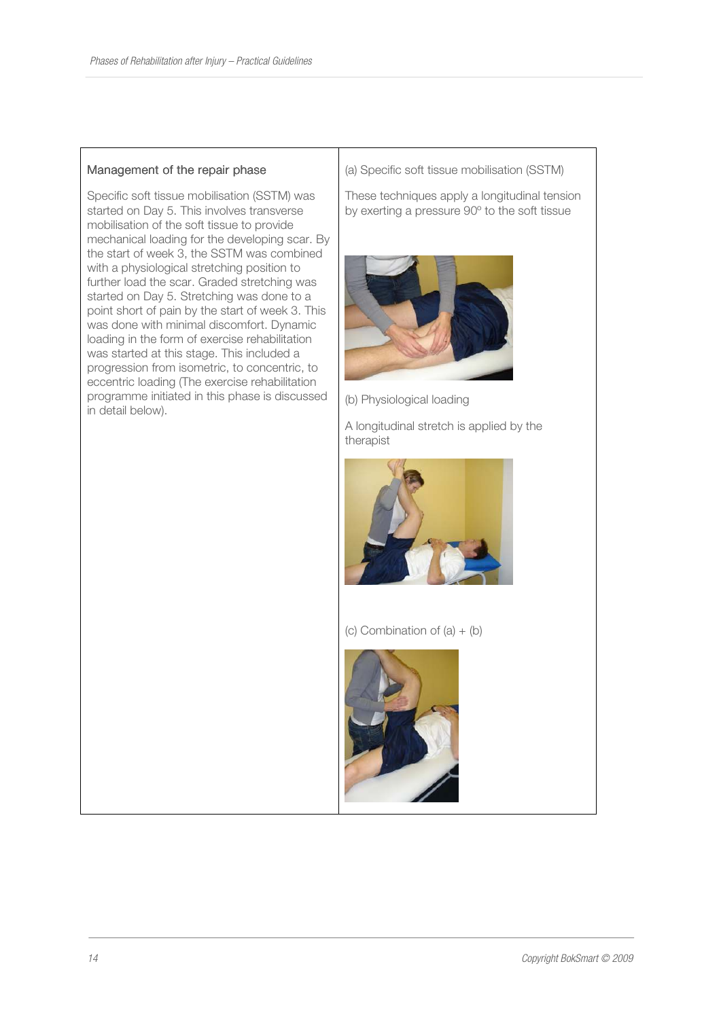#### Management of the repair phase

Specific soft tissue mobilisation (SSTM) was started on Day 5. This involves transverse mobilisation of the soft tissue to provide mechanical loading for the developing scar. By the start of week 3, the SSTM was combined with a physiological stretching position to further load the scar. Graded stretching was started on Day 5. Stretching was done to a point short of pain by the start of week 3. This was done with minimal discomfort. Dynamic loading in the form of exercise rehabilitation was started at this stage. This included a progression from isometric, to concentric, to eccentric loading (The exercise rehabilitation programme initiated in this phase is discussed in detail below).

(a) Specific soft tissue mobilisation (SSTM)

These techniques apply a longitudinal tension by exerting a pressure 90º to the soft tissue



(b) Physiological loading

A longitudinal stretch is applied by the therapist



(c) Combination of  $(a) + (b)$ 

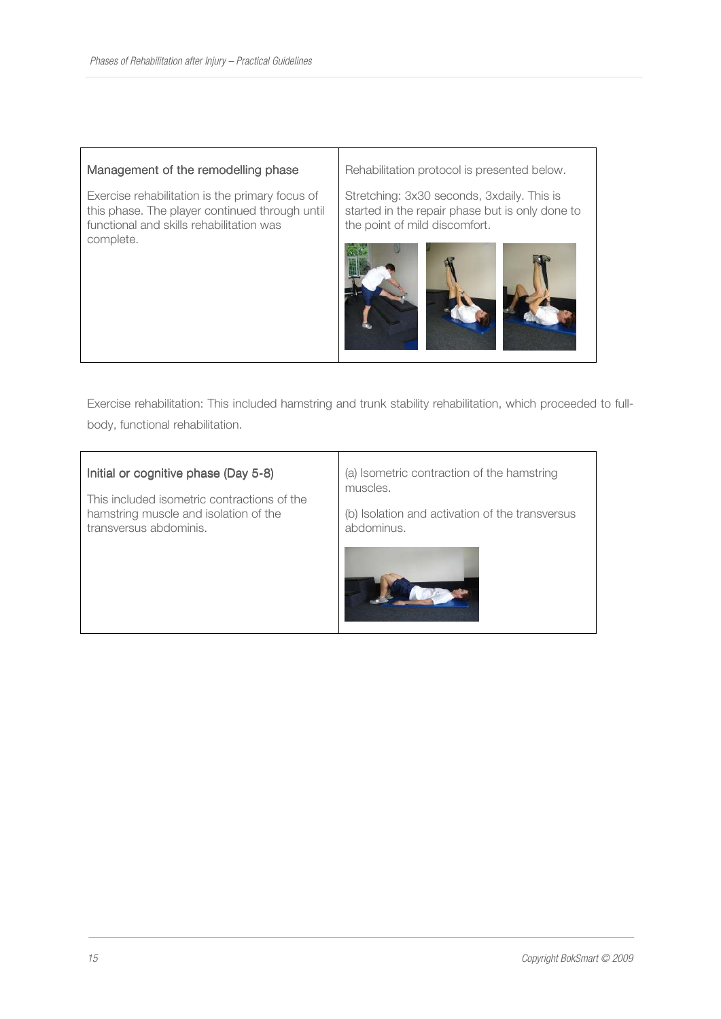#### Management of the remodelling phase

Exercise rehabilitation is the primary focus of this phase. The player continued through until functional and skills rehabilitation was complete.

Rehabilitation protocol is presented below.

Stretching: 3x30 seconds, 3xdaily. This is started in the repair phase but is only done to the point of mild discomfort.



Exercise rehabilitation: This included hamstring and trunk stability rehabilitation, which proceeded to fullbody, functional rehabilitation.

#### Initial or cognitive phase (Day 5-8)

This included isometric contractions of the hamstring muscle and isolation of the transversus abdominis.

(a) Isometric contraction of the hamstring muscles.

(b) Isolation and activation of the transversus abdominus.

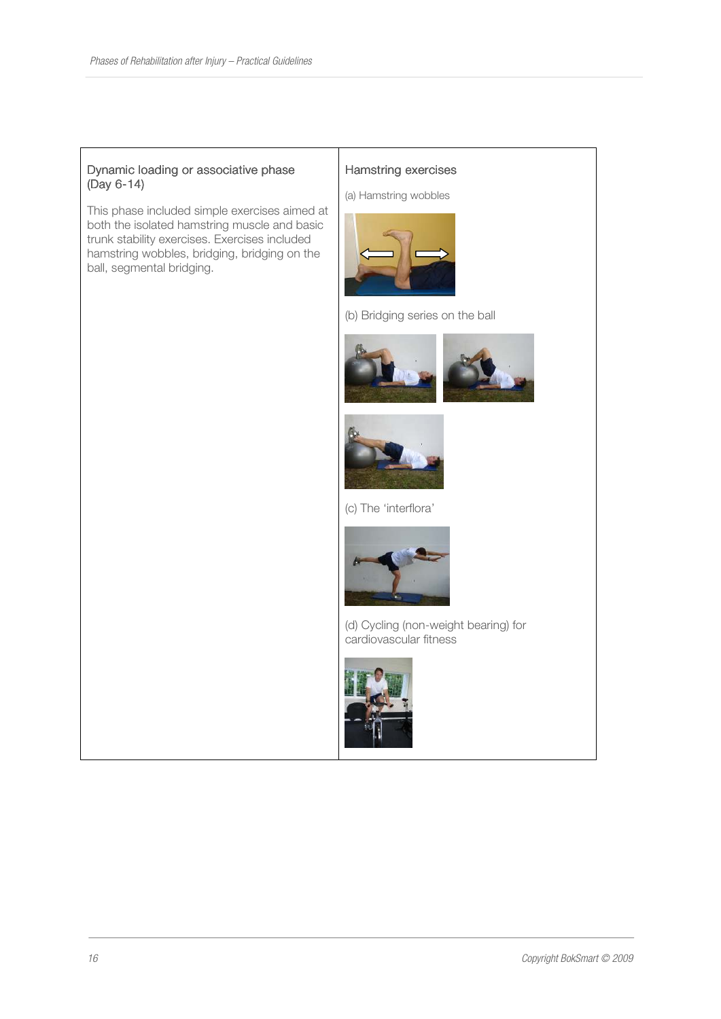#### Dynamic loading or associative phase (Day 6-14)

This phase included simple exercises aimed at both the isolated hamstring muscle and basic trunk stability exercises. Exercises included hamstring wobbles, bridging, bridging on the ball, segmental bridging.

#### Hamstring exercises

(a) Hamstring wobbles



(b) Bridging series on the ball





(c) The 'interflora'



(d) Cycling (non-weight bearing) for cardiovascular fitness

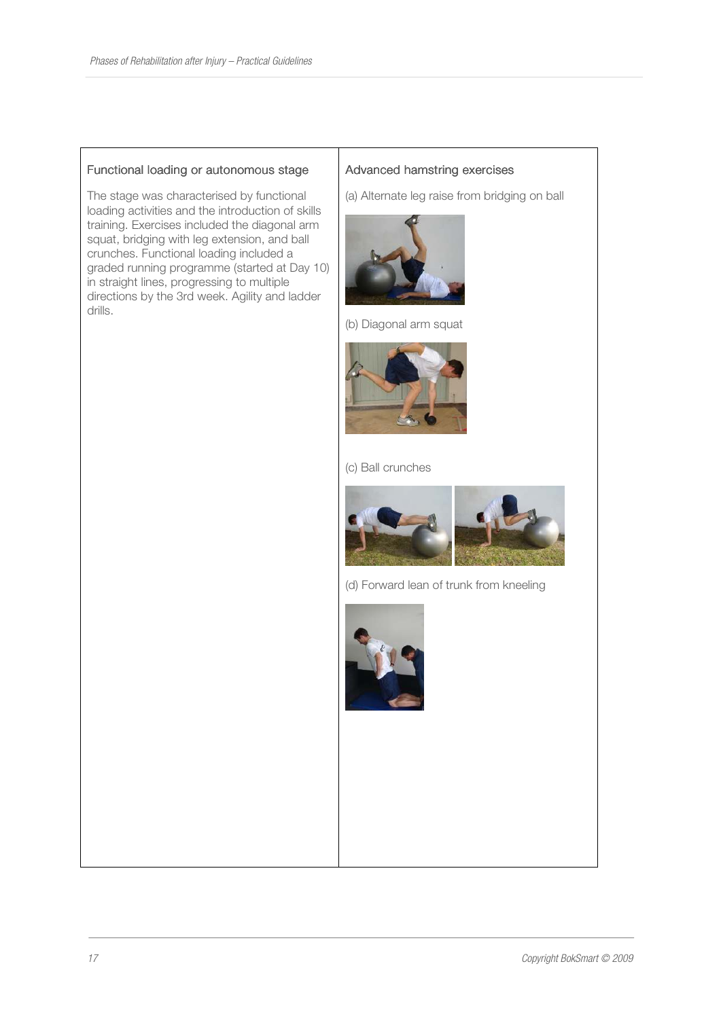#### Functional loading or autonomous stage

The stage was characterised by functional loading activities and the introduction of skills training. Exercises included the diagonal arm squat, bridging with leg extension, and ball crunches. Functional loading included a graded running programme (started at Day 10) in straight lines, progressing to multiple directions by the 3rd week. Agility and ladder drills.

#### Advanced hamstring exercises

(a) Alternate leg raise from bridging on ball



(b) Diagonal arm squat



(c) Ball crunches



(d) Forward lean of trunk from kneeling

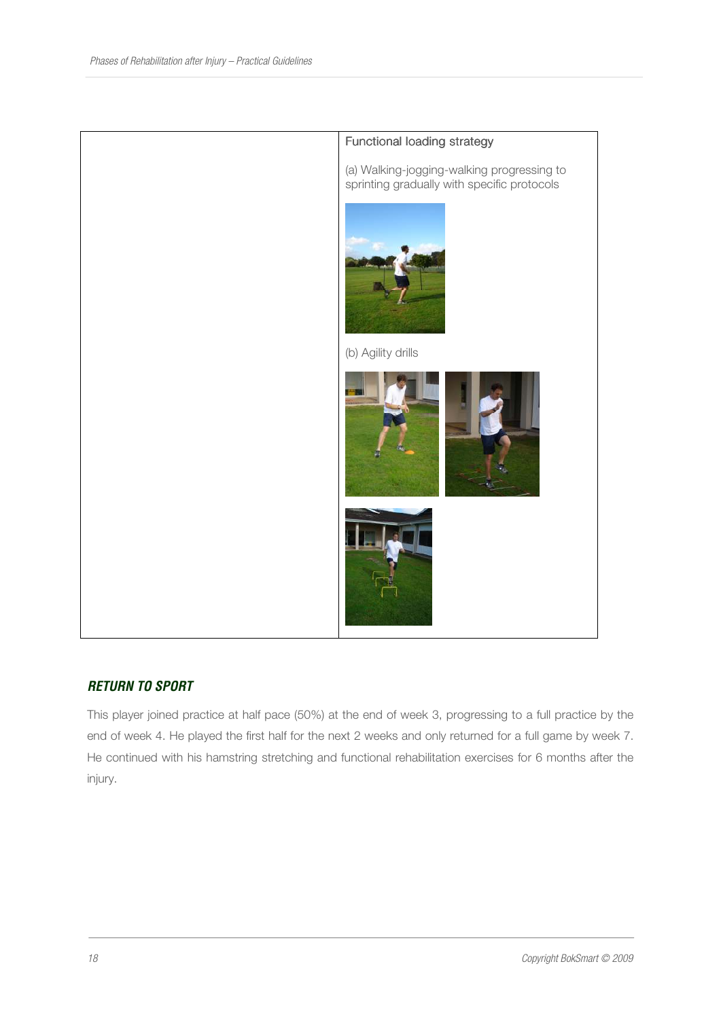

# *RETURN TO SPORT*

This player joined practice at half pace (50%) at the end of week 3, progressing to a full practice by the end of week 4. He played the first half for the next 2 weeks and only returned for a full game by week 7. He continued with his hamstring stretching and functional rehabilitation exercises for 6 months after the injury.